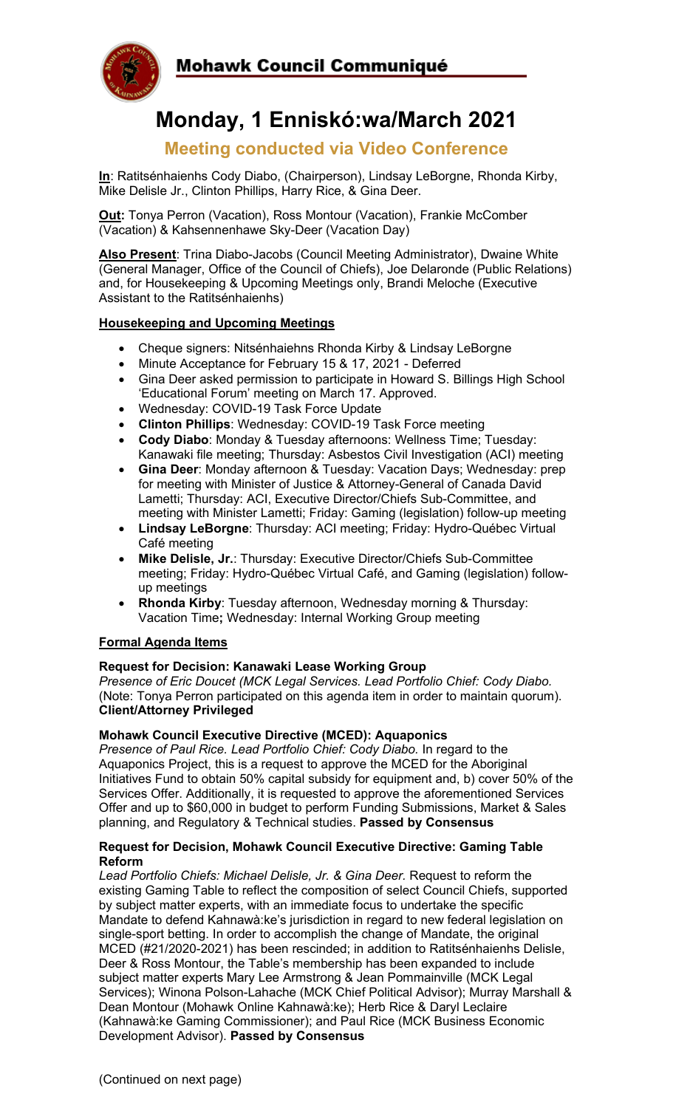

# **Monday, 1 Enniskó:wa/March 2021**

# **Meeting conducted via Video Conference**

**In**: Ratitsénhaienhs Cody Diabo, (Chairperson), Lindsay LeBorgne, Rhonda Kirby, Mike Delisle Jr., Clinton Phillips, Harry Rice, & Gina Deer.

**Out:** Tonya Perron (Vacation), Ross Montour (Vacation), Frankie McComber (Vacation) & Kahsennenhawe Sky-Deer (Vacation Day)

**Also Present**: Trina Diabo-Jacobs (Council Meeting Administrator), Dwaine White (General Manager, Office of the Council of Chiefs), Joe Delaronde (Public Relations) and, for Housekeeping & Upcoming Meetings only, Brandi Meloche (Executive Assistant to the Ratitsénhaienhs)

# **Housekeeping and Upcoming Meetings**

- Cheque signers: Nitsénhaiehns Rhonda Kirby & Lindsay LeBorgne
- Minute Acceptance for February 15 & 17, 2021 Deferred
- Gina Deer asked permission to participate in Howard S. Billings High School 'Educational Forum' meeting on March 17. Approved.
- Wednesday: COVID-19 Task Force Update
- **Clinton Phillips**: Wednesday: COVID-19 Task Force meeting
- **Cody Diabo**: Monday & Tuesday afternoons: Wellness Time; Tuesday: Kanawaki file meeting; Thursday: Asbestos Civil Investigation (ACI) meeting
- **Gina Deer**: Monday afternoon & Tuesday: Vacation Days; Wednesday: prep for meeting with Minister of Justice & Attorney-General of Canada David Lametti; Thursday: ACI, Executive Director/Chiefs Sub-Committee, and meeting with Minister Lametti; Friday: Gaming (legislation) follow-up meeting
- **Lindsay LeBorgne**: Thursday: ACI meeting; Friday: Hydro-Québec Virtual Café meeting
- **Mike Delisle, Jr.**: Thursday: Executive Director/Chiefs Sub-Committee meeting; Friday: Hydro-Québec Virtual Café, and Gaming (legislation) followup meetings
- **Rhonda Kirby**: Tuesday afternoon, Wednesday morning & Thursday: Vacation Time**;** Wednesday: Internal Working Group meeting

#### **Formal Agenda Items**

#### **Request for Decision: Kanawaki Lease Working Group**

*Presence of Eric Doucet (MCK Legal Services. Lead Portfolio Chief: Cody Diabo.*  (Note: Tonya Perron participated on this agenda item in order to maintain quorum). **Client/Attorney Privileged**

#### **Mohawk Council Executive Directive (MCED): Aquaponics**

*Presence of Paul Rice. Lead Portfolio Chief: Cody Diabo.* In regard to the Aquaponics Project, this is a request to approve the MCED for the Aboriginal Initiatives Fund to obtain 50% capital subsidy for equipment and, b) cover 50% of the Services Offer. Additionally, it is requested to approve the aforementioned Services Offer and up to \$60,000 in budget to perform Funding Submissions, Market & Sales planning, and Regulatory & Technical studies. **Passed by Consensus**

#### **Request for Decision, Mohawk Council Executive Directive: Gaming Table Reform**

Lead Portfolio Chiefs: Michael Delisle, Jr. & Gina Deer. Request to reform the existing Gaming Table to reflect the composition of select Council Chiefs, supported by subject matter experts, with an immediate focus to undertake the specific Mandate to defend Kahnawà:ke's jurisdiction in regard to new federal legislation on single-sport betting. In order to accomplish the change of Mandate, the original MCED (#21/2020-2021) has been rescinded; in addition to Ratitsénhaienhs Delisle, Deer & Ross Montour, the Table's membership has been expanded to include subject matter experts Mary Lee Armstrong & Jean Pommainville (MCK Legal Services); Winona Polson-Lahache (MCK Chief Political Advisor); Murray Marshall & Dean Montour (Mohawk Online Kahnawà:ke); Herb Rice & Daryl Leclaire (Kahnawà:ke Gaming Commissioner); and Paul Rice (MCK Business Economic Development Advisor). **Passed by Consensus**